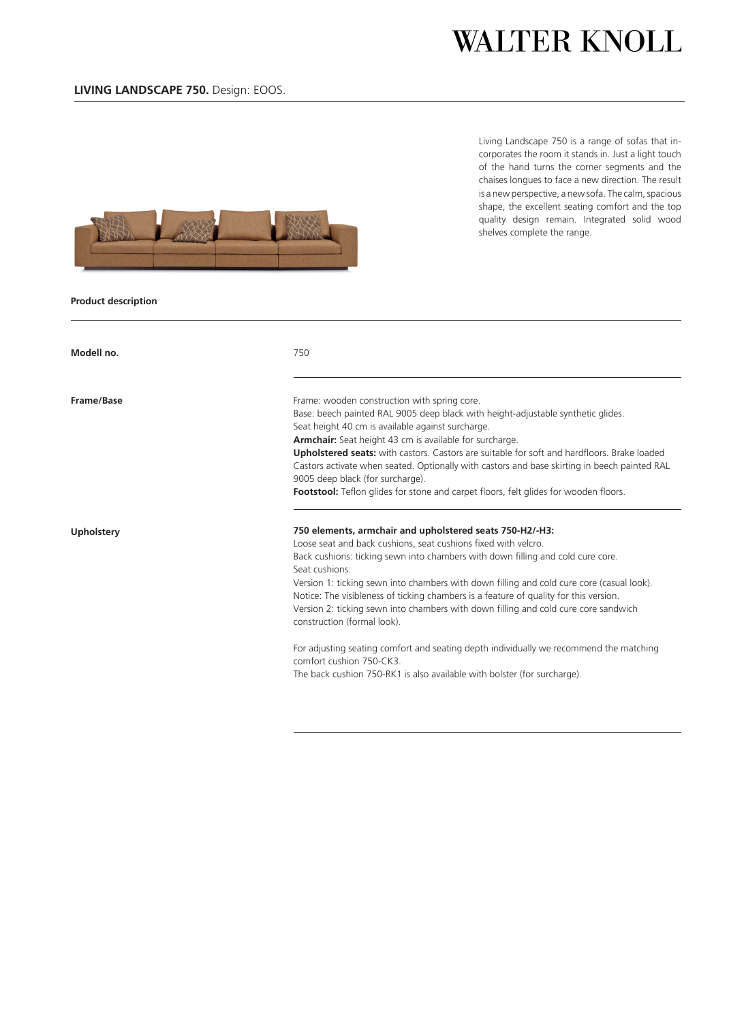Living Landscape 750 is a range of sofas that incorporates the room it stands in. Just a light touch of the hand turns the corner segments and the chaises longues to face a new direction. The result is a new perspective, a new sofa. The calm, spacious shape, the excellent seating comfort and the top quality design remain. Integrated solid wood shelves complete the range.



### **Product description**

| Modell no.        | 750                                                                                                                                                                                                                                                                                                                                   |
|-------------------|---------------------------------------------------------------------------------------------------------------------------------------------------------------------------------------------------------------------------------------------------------------------------------------------------------------------------------------|
| Frame/Base        | Frame: wooden construction with spring core.<br>Base: beech painted RAL 9005 deep black with height-adjustable synthetic glides.<br>Seat height 40 cm is available against surcharge.<br>Armchair: Seat height 43 cm is available for surcharge.                                                                                      |
|                   | <b>Upholstered seats:</b> with castors. Castors are suitable for soft and hardfloors. Brake loaded<br>Castors activate when seated. Optionally with castors and base skirting in beech painted RAL<br>9005 deep black (for surcharge).<br><b>Footstool:</b> Teflon glides for stone and carpet floors, felt glides for wooden floors. |
| <b>Upholstery</b> | 750 elements, armchair and upholstered seats 750-H2/-H3:<br>Loose seat and back cushions, seat cushions fixed with velcro.<br>Back cushions: ticking sewn into chambers with down filling and cold cure core.<br>Seat cushions:                                                                                                       |
|                   | Version 1: ticking sewn into chambers with down filling and cold cure core (casual look).<br>Notice: The visibleness of ticking chambers is a feature of quality for this version.<br>Version 2: ticking sewn into chambers with down filling and cold cure core sandwich<br>construction (formal look).                              |
|                   | For adjusting seating comfort and seating depth individually we recommend the matching<br>comfort cushion 750-CK3.<br>The back cushion 750-RK1 is also available with bolster (for surcharge).                                                                                                                                        |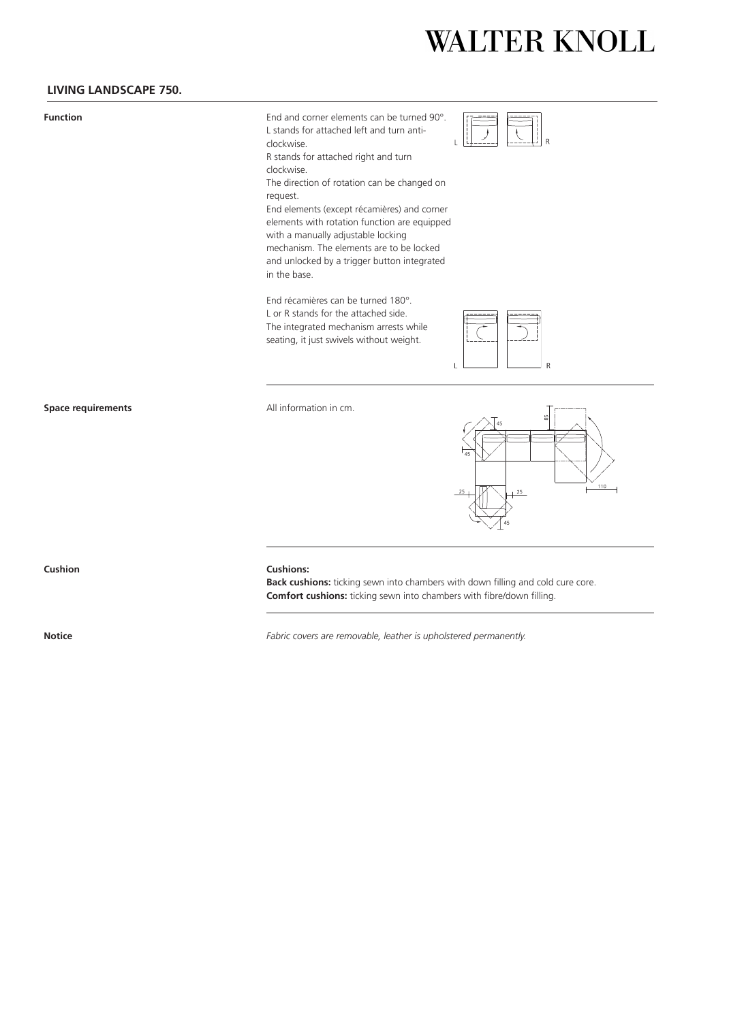### **LIVING LANDSCAPE 750.**

**Function** End and corner elements can be turned 90°. L stands for attached left and turn anticlockwise. R stands for attached right and turn



clockwise. The direction of rotation can be changed on

request. End elements (except récamières) and corner

elements with rotation function are equipped with a manually adjustable locking mechanism. The elements are to be locked and unlocked by a trigger button integrated in the base.

End récamières can be turned 180°. L or R stands for the attached side. The integrated mechanism arrests while seating, it just swivels without weight.



**Space requirements** All information in cm.



#### **Cushion Cushions:**

**Back cushions:** ticking sewn into chambers with down filling and cold cure core. **Comfort cushions:** ticking sewn into chambers with fibre/down filling.

**Notice** *Fabric covers are removable, leather is upholstered permanently.*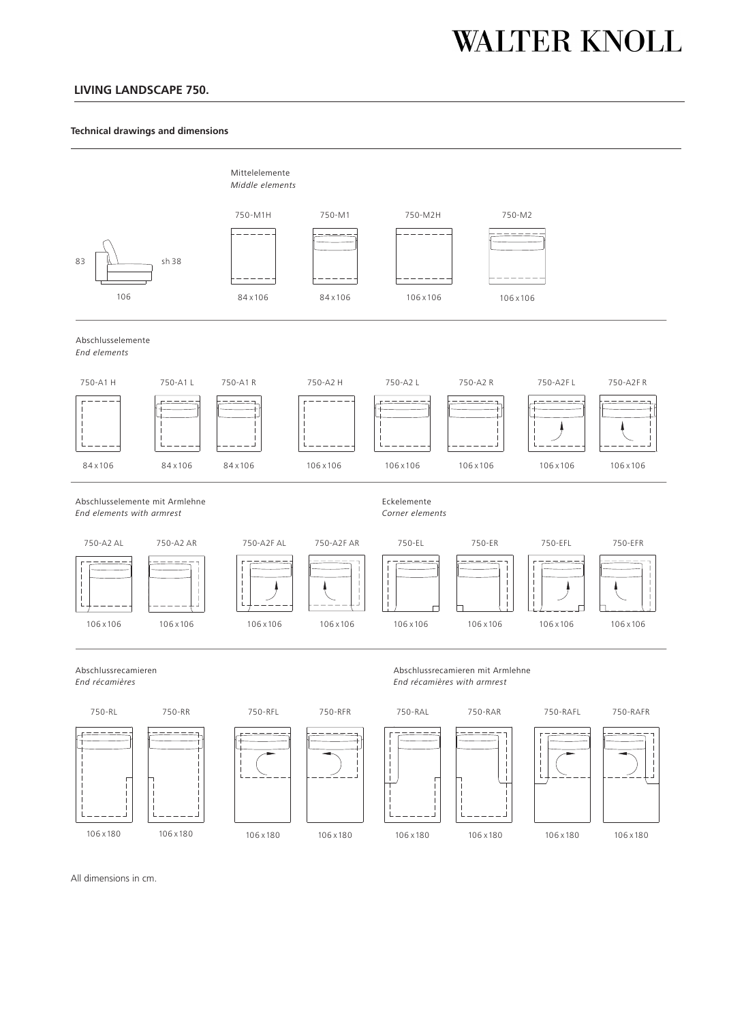### **LIVING LANDSCAPE 750.**

#### **Technical drawings and dimensions**



All dimensions in cm.